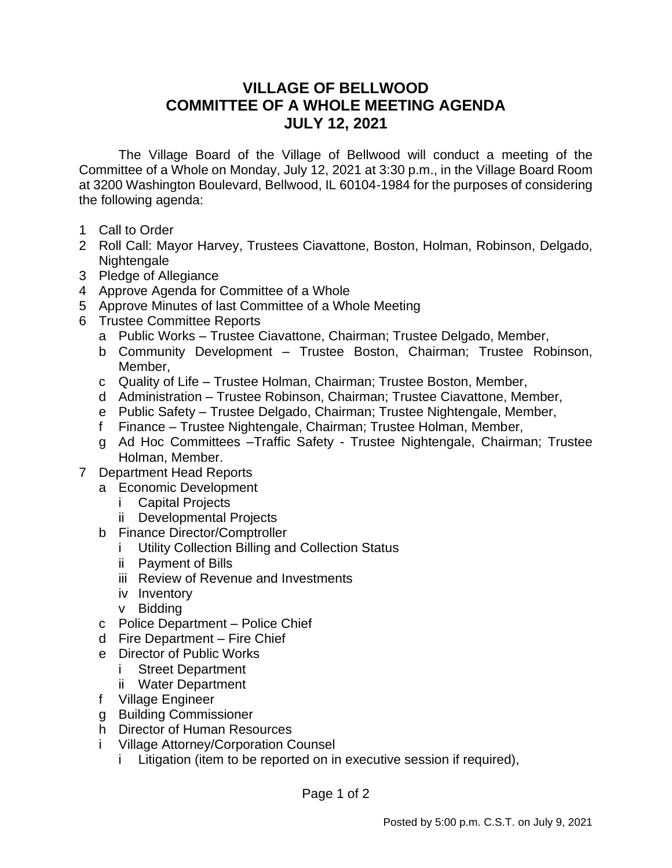## **VILLAGE OF BELLWOOD COMMITTEE OF A WHOLE MEETING AGENDA JULY 12, 2021**

The Village Board of the Village of Bellwood will conduct a meeting of the Committee of a Whole on Monday, July 12, 2021 at 3:30 p.m., in the Village Board Room at 3200 Washington Boulevard, Bellwood, IL 60104-1984 for the purposes of considering the following agenda:

- 1 Call to Order
- 2 Roll Call: Mayor Harvey, Trustees Ciavattone, Boston, Holman, Robinson, Delgado, Nightengale
- 3 Pledge of Allegiance
- 4 Approve Agenda for Committee of a Whole
- 5 Approve Minutes of last Committee of a Whole Meeting
- 6 Trustee Committee Reports
	- a Public Works Trustee Ciavattone, Chairman; Trustee Delgado, Member,
	- b Community Development Trustee Boston, Chairman; Trustee Robinson, Member,
	- c Quality of Life Trustee Holman, Chairman; Trustee Boston, Member,
	- d Administration Trustee Robinson, Chairman; Trustee Ciavattone, Member,
	- e Public Safety Trustee Delgado, Chairman; Trustee Nightengale, Member,
	- f Finance Trustee Nightengale, Chairman; Trustee Holman, Member,
	- g Ad Hoc Committees –Traffic Safety Trustee Nightengale, Chairman; Trustee Holman, Member.
- 7 Department Head Reports
	- a Economic Development
		- i Capital Projects
		- ii Developmental Projects
	- b Finance Director/Comptroller
		- i Utility Collection Billing and Collection Status
		- ii Payment of Bills
		- iii Review of Revenue and Investments
		- iv Inventory
		- v Bidding
	- c Police Department Police Chief
	- d Fire Department Fire Chief
	- e Director of Public Works
		- i Street Department
		- ii Water Department
	- f Village Engineer
	- g Building Commissioner
	- h Director of Human Resources
	- i Village Attorney/Corporation Counsel
		- i Litigation (item to be reported on in executive session if required),